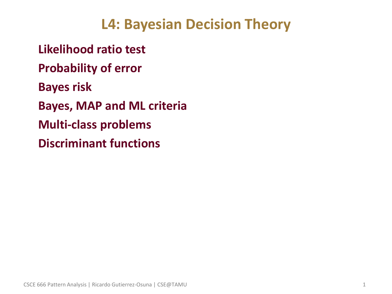### **L4: Bayesian Decision Theory**

• **Likelihood ratio test** • **Probability of error** • **Bayes risk** • **Bayes, MAP and ML criteria** • **Multi-class problems** • **Discriminant functions**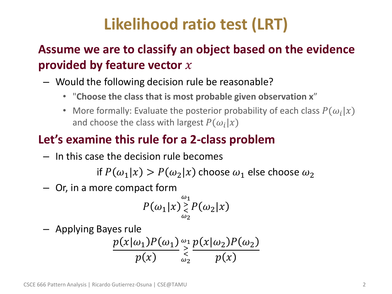# **Likelihood ratio test (LRT)**

### • **Assume we are to classify an object based on the evidence provided by feature vector**

- Would the following decision rule be reasonable?
	- "**Choose the class that is most probable given observation x**"
	- More formally: Evaluate the posterior probability of each class  $P(\omega_i|x)$ and choose the class with largest  $P(\omega_i|x)$

### • **Let's examine this rule for a 2-class problem**

– In this case the decision rule becomes

if  $P(\omega_1 | x) > P(\omega_2 | x)$  choose  $\omega_1$  else choose  $\omega_2$ 

– Or, in a more compact form

$$
P(\omega_1|x) \mathop{>^{\omega_1}_{\infty}}_{\omega_2} P(\omega_2|x)
$$

– Applying Bayes rule

$$
\frac{p(x|\omega_1)P(\omega_1)}{p(x)} \underset{\omega_2}{\overset{\omega_1}{\geq}} \frac{p(x|\omega_2)P(\omega_2)}{p(x)}
$$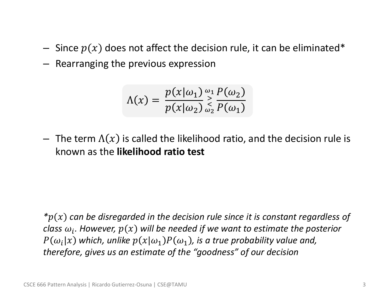- Since  $p(x)$  does not affect the decision rule, it can be eliminated\*
- Rearranging the previous expression

$$
\Lambda(x) = \frac{p(x|\omega_1)}{p(x|\omega_2)} \underset{\omega_2}{\overset{\omega_1}{\geq}} \frac{P(\omega_2)}{P(\omega_1)}
$$

– The term  $\Lambda(x)$  is called the likelihood ratio, and the decision rule is known as the **likelihood ratio test**

*\**() *can be disregarded in the decision rule since it is constant regardless of*  class  $\omega_i.$  However,  $p(x)$  will be needed if we want to estimate the posterior  $P(\omega_{i} | x)$  which, unlike  $p(x | \omega_{1}) P(\omega_{1})$ , is a true probability value and, *therefore, gives us an estimate of the "goodness" of our decision*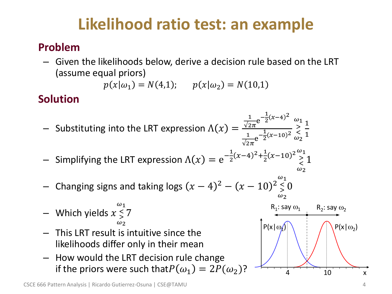## **Likelihood ratio test: an example**

#### • **Problem**

– Given the likelihoods below, derive a decision rule based on the LRT (assume equal priors)

 $p(x|\omega_1) = N(4,1); \quad p(x|\omega_2) = N(10,1)$ 

#### • **Solution**

- $-$  Substituting into the LRT expression  $\Lambda(x) =$ 1  $\frac{1}{\sqrt{2\pi}}e^{-\frac{1}{2}}$  $\frac{1}{2}(x-4)^2$ 1  $\frac{1}{\sqrt{2\pi}}e^{-\frac{1}{2}}$  $\frac{1}{2}(x-10)^2$  $\omega_1$ >  $\lt$  $\omega_2$ 1 1
- $-$  Simplifying the LRT expression  $\Lambda(x) = \mathrm{e}^{-\frac{1}{2}}$  $\frac{1}{2}(x-4)^2 + \frac{1}{2}$  $\frac{1}{2}(x-10)^2 \sum_{0}^{\omega_1}$  $\prec$  $\omega_2$ 1
- − Changing signs and taking logs  $(x 4)^2 (x 10)^2$  $\omega_1$  $\prec$  $\leq 0$  $\omega_2$
- $-$  Which yields  $x \leq$  $\omega_1$  $\leq 7$  $\omega$
- This LRT result is intuitive since the likelihoods differ only in their mean
- How would the LRT decision rule change if the priors were such that  $P(\omega_1) = 2P(\omega_2)$ ?

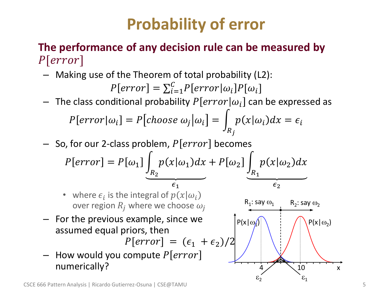# **Probability of error**

#### • **The performance of any decision rule can be measured by**   $P[error]$

– Making use of the Theorem of total probability (L2):

$$
P[error] = \sum_{i=1}^{C} P[error|\omega_i]P[\omega_i]
$$

The class conditional probability  $P[error|\omega_i]$  can be expressed as

$$
P[error|\omega_i] = P[choose \omega_i|\omega_i] = \int_{R_j} p(x|\omega_i) dx = \epsilon_i
$$

 $-$  So, for our 2-class problem,  $P[error]$  becomes

$$
P[error] = P[\omega_1] \underbrace{\int_{R_2} p(x|\omega_1) dx}_{\epsilon_1} + P[\omega_2] \underbrace{\int_{R_1} p(x|\omega_2) dx}_{\epsilon_2}
$$

- where  $\epsilon_i$  is the integral of  $p(x|\omega_i)$ over region  $R_i$  where we choose  $\omega_i$
- For the previous example, since we assumed equal priors, then

 $P[error] = (\epsilon_1 + \epsilon_2)/2$ 

- How would you compute  $P[error]$ numerically?

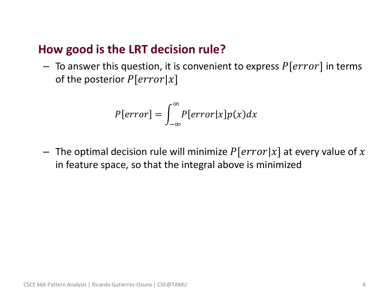#### • **How good is the LRT decision rule?**

 $-$  To answer this question, it is convenient to express  $P[error]$  in terms of the posterior  $P[error|x]$ 

$$
P[error] = \int_{-\infty}^{\infty} P[error|x]p(x)dx
$$

– The optimal decision rule will minimize  $P[error|x]$  at every value of x in feature space, so that the integral above is minimized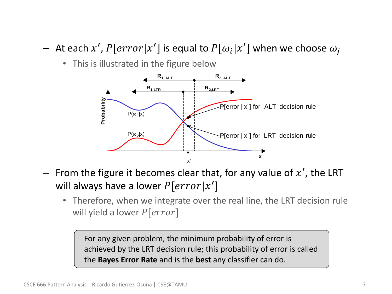- $-$  At each  $x'$ ,  $P[error | x']$  is equal to  $P[\omega_i | x']$  when we choose  $\omega_j$ 
	- This is illustrated in the figure below



- $-$  From the figure it becomes clear that, for any value of  $x'$ , the LRT will always have a lower  $P[error | x']$ 
	- Therefore, when we integrate over the real line, the LRT decision rule will yield a lower  $P[error]$

For any given problem, the minimum probability of error is achieved by the LRT decision rule; this probability of error is called the **Bayes Error Rate** and is the **best** any classifier can do.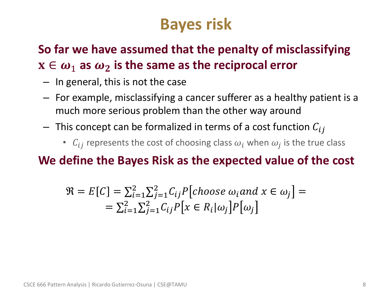## **Bayes risk**

### • **So far we have assumed that the penalty of misclassifying**   $x \in \omega_1$  as  $\omega_2$  is the same as the reciprocal error

- In general, this is not the case
- For example, misclassifying a cancer sufferer as a healthy patient is a much more serious problem than the other way around
- $-$  This concept can be formalized in terms of a cost function  $C_{ij}$ 
	- $C_{ij}$  represents the cost of choosing class  $\omega_i$  when  $\omega_j$  is the true class

#### • **We define the Bayes Risk as the expected value of the cost**

$$
\mathfrak{R} = E[C] = \sum_{i=1}^{2} \sum_{j=1}^{2} C_{ij} P[choose \omega s e \omega_i and x \in \omega_j] =
$$
  
=  $\sum_{i=1}^{2} \sum_{j=1}^{2} C_{ij} P[x \in R_i | \omega_j] P[\omega_j]$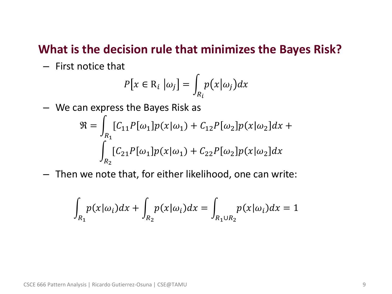#### • **What is the decision rule that minimizes the Bayes Risk?**

– First notice that

$$
P[x \in \mathrm{R}_i \, \big| \omega_j] = \int_{R_i} p(x | \omega_j) dx
$$

– We can express the Bayes Risk as

$$
\mathfrak{R} = \int_{R_1} [C_{11}P[\omega_1]p(x|\omega_1) + C_{12}P[\omega_2]p(x|\omega_2]dx +
$$
  

$$
\int_{R_2} [C_{21}P[\omega_1]p(x|\omega_1) + C_{22}P[\omega_2]p(x|\omega_2]dx
$$

– Then we note that, for either likelihood, one can write:

$$
\int_{R_1} p(x|\omega_i)dx + \int_{R_2} p(x|\omega_i)dx = \int_{R_1 \cup R_2} p(x|\omega_i)dx = 1
$$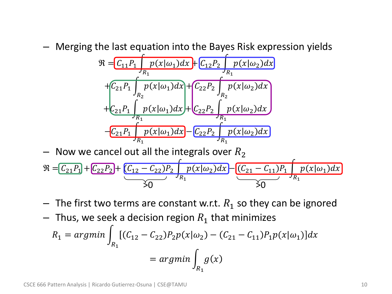– Merging the last equation into the Bayes Risk expression yields

$$
\mathfrak{R} = C_{11}P_1 \int_{R_1} p(x|\omega_1) dx + C_{12}P_2 \int_{R_1} p(x|\omega_2) dx
$$
  
+ 
$$
C_{21}P_1 \int_{R_2} p(x|\omega_1) dx + C_{22}P_2 \int_{R_2} p(x|\omega_2) dx
$$
  
+ 
$$
C_{21}P_1 \int_{R_1} p(x|\omega_1) dx + C_{22}P_2 \int_{R_1} p(x|\omega_2) dx
$$
  
- 
$$
C_{21}P_1 \int_{R_1} p(x|\omega_1) dx - C_{22}P_2 \int_{R_1} p(x|\omega_2) dx
$$

– Now we cancel out all the integrals over  $R_2$ 

$$
\mathfrak{R} = \underbrace{C_{21}P_1} + \underbrace{C_{22}P_2} + \underbrace{(C_{12} - C_{22})P_2} + p(x|\omega_2)dx - \underbrace{(C_{21} - C_{11})P_1} + p(x|\omega_1)dx}_{\text{XO}}
$$

- $-$  The first two terms are constant w.r.t.  $R_1$  so they can be ignored
- Thus, we seek a decision region  $R_1$  that minimizes

$$
R_1 = \underset{R_1}{\operatorname{argmin}} \int_{R_1} [(C_{12} - C_{22}) P_2 p(x | \omega_2) - (C_{21} - C_{11}) P_1 p(x | \omega_1)] dx
$$
  
= 
$$
\underset{R_1}{\operatorname{argmin}} \int_{R_1} g(x)
$$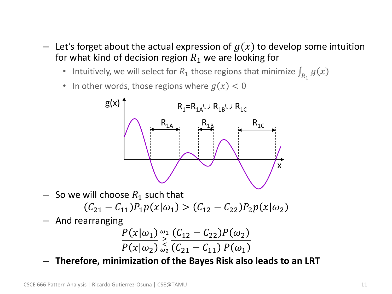- $-$  Let's forget about the actual expression of  $g(x)$  to develop some intuition for what kind of decision region  $R_1$  we are looking for
	- Intuitively, we will select for  $R_1$  those regions that minimize  $\int_{R_1} g(x)$
	- In other words, those regions where  $g(x) < 0$



– So we will choose  $R_1$  such that

$$
(C_{21} - C_{11})P_1p(x|\omega_1) > (C_{12} - C_{22})P_2p(x|\omega_2)
$$

– And rearranging

$$
\frac{P(x|\omega_1)}{P(x|\omega_2)} \sum_{\omega_2}^{\omega_1} \frac{(C_{12} - C_{22})P(\omega_2)}{(C_{21} - C_{11})P(\omega_1)}
$$

– **Therefore, minimization of the Bayes Risk also leads to an LRT**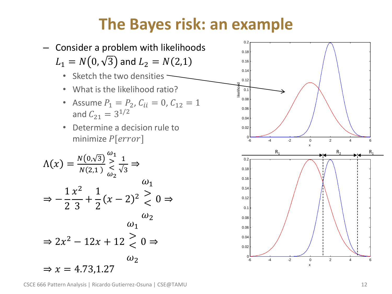## **The Bayes risk: an example**



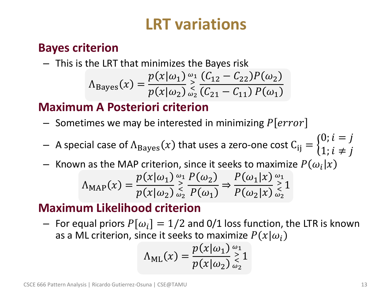## **LRT variations**

#### • **Bayes criterion**

- This is the LRT that minimizes the Bayes risk  
\n
$$
\Lambda_{Bayes}(x) = \frac{p(x|\omega_1)}{p(x|\omega_2)} \sum_{\omega_2}^{\omega_1} \frac{(C_{12} - C_{22})P(\omega_2)}{(C_{21} - C_{11})P(\omega_1)}
$$

### • **Maximum A Posteriori criterion**

- Sometimes we may be interested in minimizing  $P[error]$
- $-$  A special case of  $\Lambda_{\mathrm{Bayes}} (x)$  that uses a zero-one cost  $\mathrm{C_{ij} =} \{$  $0; i = j$ 1;  $i \neq j$
- Known as the MAP criterion, since it seeks to maximize  $P(\omega_i|x)$

$$
\Lambda_{\text{MAP}}(x) = \frac{p(x|\omega_1)}{p(x|\omega_2)} \mathop{\geq}_{\omega_2}^{\omega_1} \frac{P(\omega_2)}{P(\omega_1)} \Rightarrow \frac{P(\omega_1|x)}{P(\omega_2|x)} \mathop{\geq}_{\omega_2}^{\omega_1} 1
$$

### • **Maximum Likelihood criterion**

 $-$  For equal priors  $P[\omega_i] = 1/2$  and 0/1 loss function, the LTR is known as a ML criterion, since it seeks to maximize  $P(x|\omega_i)$ 

$$
\Lambda_{\text{ML}}(x) = \frac{p(x|\omega_1)}{p(x|\omega_2)} \mathop{\geq}_{\omega_2}^{\omega_1} 1
$$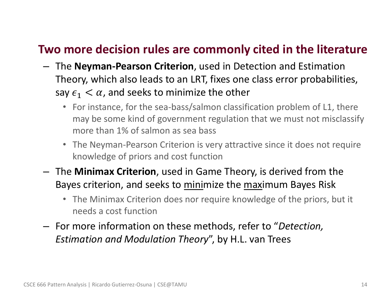#### • **Two more decision rules are commonly cited in the literature**

- The **Neyman-Pearson Criterion**, used in Detection and Estimation Theory, which also leads to an LRT, fixes one class error probabilities, say  $\epsilon_1 < \alpha$ , and seeks to minimize the other
	- For instance, for the sea-bass/salmon classification problem of L1, there may be some kind of government regulation that we must not misclassify more than 1% of salmon as sea bass
	- The Neyman-Pearson Criterion is very attractive since it does not require knowledge of priors and cost function
- The **Minimax Criterion**, used in Game Theory, is derived from the Bayes criterion, and seeks to minimize the maximum Bayes Risk
	- The Minimax Criterion does nor require knowledge of the priors, but it needs a cost function
- For more information on these methods, refer to "*Detection, Estimation and Modulation Theory*", by H.L. van Trees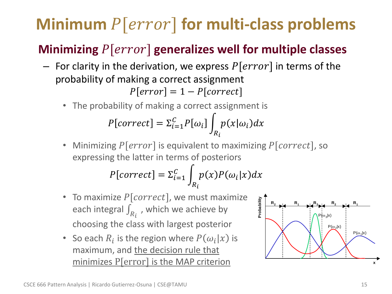# **Minimum**  $P[error]$  for multi-class problems

### • **Minimizing** [] **generalizes well for multiple classes**

- For clarity in the derivation, we express  $P[error]$  in terms of the probability of making a correct assignment  $P[error] = 1 - P[correct]$ 
	- The probability of making a correct assignment is

$$
P[correct] = \sum_{i=1}^{C} P[\omega_i] \int_{R_i} p(x|\omega_i) dx
$$

Minimizing  $P[error]$  is equivalent to maximizing  $P[correct]$ , so expressing the latter in terms of posteriors

$$
P[correct] = \sum_{i=1}^{C} \int_{R_i} p(x) P(\omega_i | x) dx
$$

- To maximize  $P[correct]$ , we must maximize each integral  $\int_{R_i}$  , which we achieve by choosing the class with largest posterior
- So each  $R_i$  is the region where  $P(\omega_i|x)$  is maximum, and the decision rule that minimizes P[error] is the MAP criterion **<sup>x</sup>**

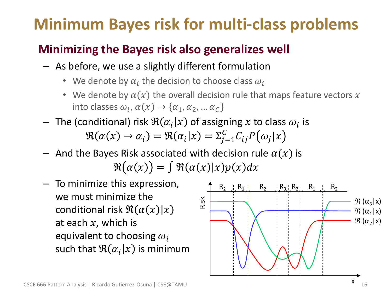# **Minimum Bayes risk for multi-class problems**

### • **Minimizing the Bayes risk also generalizes well**

- As before, we use a slightly different formulation
	- We denote by  $\alpha_i$  the decision to choose class  $\omega_i$
	- We denote by  $\alpha(x)$  the overall decision rule that maps feature vectors x into classes  $\omega_i$ ,  $\alpha(x) \rightarrow \{ \alpha_1, \alpha_2, ... \alpha_C \}$
- $-$  The (conditional) risk  $\Re(\alpha_i|x)$  of assigning  $x$  to class  $\omega_i$  is  $\Re(\alpha(x) \to \alpha_i) = \Re(\alpha_i|x) = \sum_{j=1}^C C_{ij} P(\omega_j|x)$
- And the Bayes Risk associated with decision rule  $\alpha(x)$  is  $\Re(\alpha(x)) = \int \Re(\alpha(x)|x)p(x)dx$
- To minimize this expression, we must minimize the conditional risk  $\Re(\alpha(x)|x)$ at each  $x$ , which is equivalent to choosing  $\omega_i$ such that  $\Re(\alpha_i|x)$  is minimum